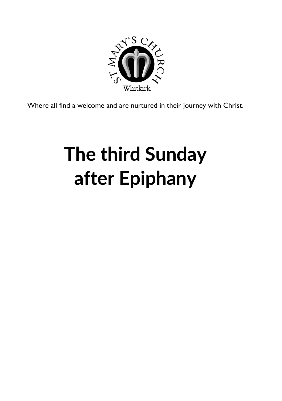

Where all find a welcome and are nurtured in their journey with Christ.

# **The third Sunday after Epiphany**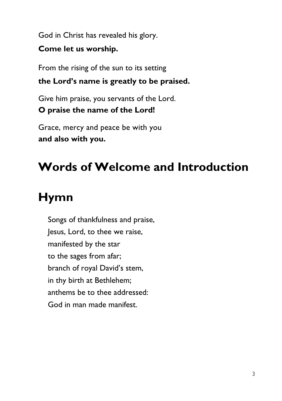God in Christ has revealed his glory.

**Come let us worship.**

From the rising of the sun to its setting

**the Lord's name is greatly to be praised.**

Give him praise, you servants of the Lord. **O praise the name of the Lord!**

Grace, mercy and peace be with you **and also with you.**

# **Words of Welcome and Introduction**

# **Hymn**

Songs of thankfulness and praise, Jesus, Lord, to thee we raise, manifested by the star to the sages from afar; branch of royal David's stem, in thy birth at Bethlehem; anthems be to thee addressed: God in man made manifest.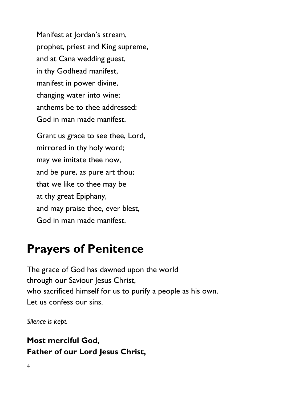Manifest at Jordan's stream, prophet, priest and King supreme, and at Cana wedding guest, in thy Godhead manifest, manifest in power divine, changing water into wine; anthems be to thee addressed: God in man made manifest.

Grant us grace to see thee, Lord, mirrored in thy holy word; may we imitate thee now, and be pure, as pure art thou; that we like to thee may be at thy great Epiphany, and may praise thee, ever blest, God in man made manifest.

### **Prayers of Penitence**

The grace of God has dawned upon the world through our Saviour Jesus Christ, who sacrificed himself for us to purify a people as his own. Let us confess our sins.

*Silence is kept.*

#### **Most merciful God, Father of our Lord Jesus Christ,**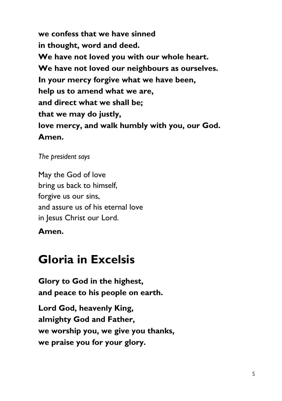**we confess that we have sinned in thought, word and deed. We have not loved you with our whole heart. We have not loved our neighbours as ourselves. In your mercy forgive what we have been, help us to amend what we are, and direct what we shall be; that we may do justly, love mercy, and walk humbly with you, our God. Amen.** 

*The president says*

May the God of love bring us back to himself, forgive us our sins, and assure us of his eternal love in Jesus Christ our Lord.

**Amen.**

### **Gloria in Excelsis**

**Glory to God in the highest, and peace to his people on earth.**

**Lord God, heavenly King, almighty God and Father, we worship you, we give you thanks, we praise you for your glory.**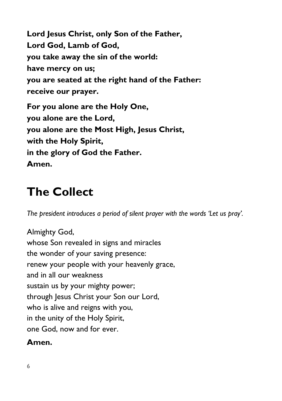**Lord Jesus Christ, only Son of the Father, Lord God, Lamb of God, you take away the sin of the world: have mercy on us; you are seated at the right hand of the Father: receive our prayer. For you alone are the Holy One, you alone are the Lord, you alone are the Most High, Jesus Christ, with the Holy Spirit, in the glory of God the Father. Amen.**

### **The Collect**

*The president introduces a period of silent prayer with the words 'Let us pray'.*

Almighty God, whose Son revealed in signs and miracles the wonder of your saving presence: renew your people with your heavenly grace, and in all our weakness sustain us by your mighty power; through Jesus Christ your Son our Lord, who is alive and reigns with you, in the unity of the Holy Spirit, one God, now and for ever.

#### **Amen.**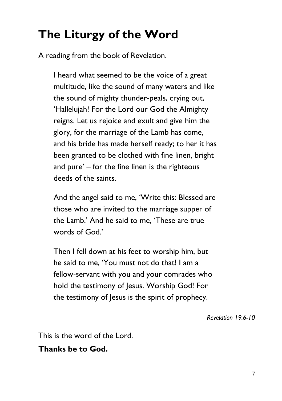## **The Liturgy of the Word**

A reading from the book of Revelation.

I heard what seemed to be the voice of a great multitude, like the sound of many waters and like the sound of mighty thunder-peals, crying out, 'Hallelujah! For the Lord our God the Almighty reigns. Let us rejoice and exult and give him the glory, for the marriage of the Lamb has come, and his bride has made herself ready; to her it has been granted to be clothed with fine linen, bright and pure' – for the fine linen is the righteous deeds of the saints.

And the angel said to me, 'Write this: Blessed are those who are invited to the marriage supper of the Lamb.' And he said to me, 'These are true words of God.'

Then I fell down at his feet to worship him, but he said to me, 'You must not do that! I am a fellow-servant with you and your comrades who hold the testimony of Jesus. Worship God! For the testimony of lesus is the spirit of prophecy.

*Revelation 19.6-10*

This is the word of the Lord.

**Thanks be to God.**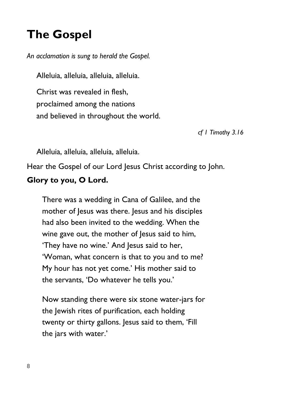### **The Gospel**

*An acclamation is sung to herald the Gospel.*

Alleluia, alleluia, alleluia, alleluia.

Christ was revealed in flesh, proclaimed among the nations and believed in throughout the world.

*cf 1 Timothy 3.16*

Alleluia, alleluia, alleluia, alleluia.

Hear the Gospel of our Lord Jesus Christ according to John.

#### **Glory to you, O Lord.**

There was a wedding in Cana of Galilee, and the mother of Jesus was there. Jesus and his disciples had also been invited to the wedding. When the wine gave out, the mother of Jesus said to him, 'They have no wine.' And Jesus said to her, 'Woman, what concern is that to you and to me? My hour has not yet come.' His mother said to the servants, 'Do whatever he tells you.'

Now standing there were six stone water-jars for the Jewish rites of purification, each holding twenty or thirty gallons. Jesus said to them, 'Fill the jars with water.'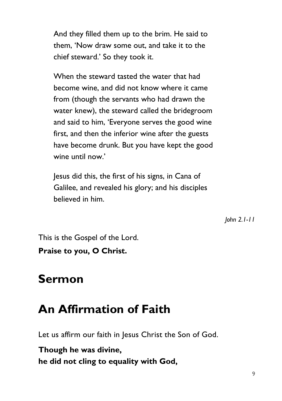And they filled them up to the brim. He said to them, 'Now draw some out, and take it to the chief steward.' So they took it.

When the steward tasted the water that had become wine, and did not know where it came from (though the servants who had drawn the water knew), the steward called the bridegroom and said to him, 'Everyone serves the good wine first, and then the inferior wine after the guests have become drunk. But you have kept the good wine until now'

Jesus did this, the first of his signs, in Cana of Galilee, and revealed his glory; and his disciples believed in him.

*John 2.1-11*

This is the Gospel of the Lord.

**Praise to you, O Christ.**

#### **Sermon**

### **An Affirmation of Faith**

Let us affirm our faith in Jesus Christ the Son of God.

**Though he was divine, he did not cling to equality with God,**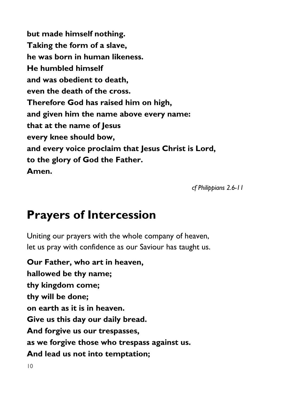**but made himself nothing. Taking the form of a slave, he was born in human likeness. He humbled himself and was obedient to death, even the death of the cross. Therefore God has raised him on high, and given him the name above every name: that at the name of Jesus every knee should bow, and every voice proclaim that Jesus Christ is Lord, to the glory of God the Father. Amen.**

*cf Philippians 2.6-11*

### **Prayers of Intercession**

Uniting our prayers with the whole company of heaven, let us pray with confidence as our Saviour has taught us.

**Our Father, who art in heaven, hallowed be thy name; thy kingdom come; thy will be done; on earth as it is in heaven. Give us this day our daily bread. And forgive us our trespasses, as we forgive those who trespass against us. And lead us not into temptation;**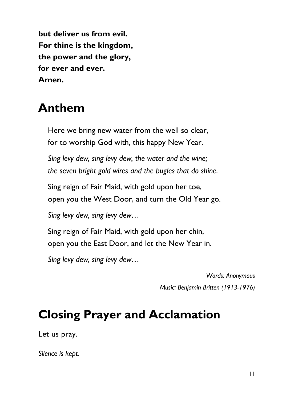**but deliver us from evil. For thine is the kingdom, the power and the glory, for ever and ever. Amen.**

### **Anthem**

Here we bring new water from the well so clear, for to worship God with, this happy New Year.

*Sing levy dew, sing levy dew, the water and the wine; the seven bright gold wires and the bugles that do shine.*

Sing reign of Fair Maid, with gold upon her toe, open you the West Door, and turn the Old Year go.

*Sing levy dew, sing levy dew…*

Sing reign of Fair Maid, with gold upon her chin, open you the East Door, and let the New Year in.

*Sing levy dew, sing levy dew…*

*Words: Anonymous Music: Benjamin Britten (1913-1976)*

### **Closing Prayer and Acclamation**

Let us pray.

*Silence is kept.*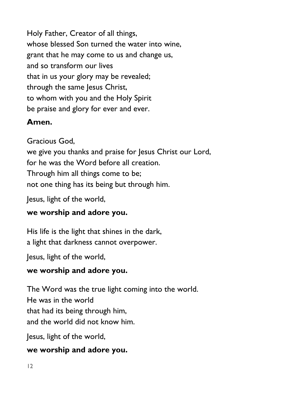Holy Father, Creator of all things, whose blessed Son turned the water into wine, grant that he may come to us and change us, and so transform our lives that in us your glory may be revealed; through the same Jesus Christ, to whom with you and the Holy Spirit be praise and glory for ever and ever.

#### **Amen.**

Gracious God,

we give you thanks and praise for Jesus Christ our Lord, for he was the Word before all creation. Through him all things come to be; not one thing has its being but through him.

Jesus, light of the world,

#### **we worship and adore you.**

His life is the light that shines in the dark, a light that darkness cannot overpower.

Jesus, light of the world,

#### **we worship and adore you.**

The Word was the true light coming into the world. He was in the world that had its being through him, and the world did not know him.

Jesus, light of the world,

#### **we worship and adore you.**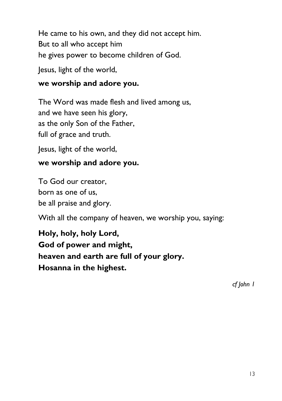He came to his own, and they did not accept him. But to all who accept him he gives power to become children of God.

Jesus, light of the world,

#### **we worship and adore you.**

The Word was made flesh and lived among us, and we have seen his glory, as the only Son of the Father, full of grace and truth.

Jesus, light of the world,

#### **we worship and adore you.**

To God our creator, born as one of us, be all praise and glory.

With all the company of heaven, we worship you, saying:

**Holy, holy, holy Lord, God of power and might, heaven and earth are full of your glory. Hosanna in the highest.**

*cf John 1*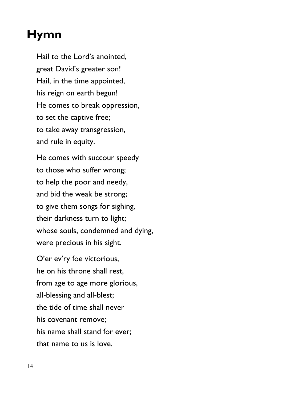### **Hymn**

Hail to the Lord's anointed, great David's greater son! Hail, in the time appointed, his reign on earth begun! He comes to break oppression, to set the captive free; to take away transgression, and rule in equity.

He comes with succour speedy to those who suffer wrong; to help the poor and needy, and bid the weak be strong; to give them songs for sighing, their darkness turn to light; whose souls, condemned and dying, were precious in his sight.

O'er ev'ry foe victorious, he on his throne shall rest, from age to age more glorious, all-blessing and all-blest; the tide of time shall never his covenant remove; his name shall stand for ever; that name to us is love.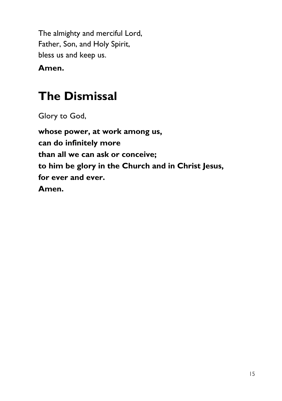The almighty and merciful Lord, Father, Son, and Holy Spirit, bless us and keep us.

**Amen.**

### **The Dismissal**

Glory to God,

**whose power, at work among us, can do infinitely more than all we can ask or conceive; to him be glory in the Church and in Christ Jesus, for ever and ever. Amen.**